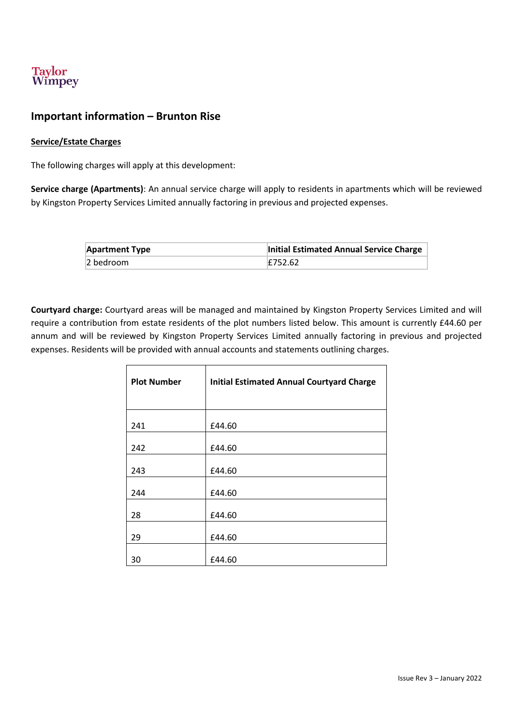

## **Important information – Brunton Rise**

#### **Service/Estate Charges**

The following charges will apply at this development:

**Service charge (Apartments)**: An annual service charge will apply to residents in apartments which will be reviewed by Kingston Property Services Limited annually factoring in previous and projected expenses.

| <b>Apartment Type</b> | Initial Estimated Annual Service Charge |
|-----------------------|-----------------------------------------|
| 2 bedroom             | E752.62                                 |

**Courtyard charge:** Courtyard areas will be managed and maintained by Kingston Property Services Limited and will require a contribution from estate residents of the plot numbers listed below. This amount is currently £44.60 per annum and will be reviewed by Kingston Property Services Limited annually factoring in previous and projected expenses. Residents will be provided with annual accounts and statements outlining charges.

| <b>Plot Number</b> | <b>Initial Estimated Annual Courtyard Charge</b> |
|--------------------|--------------------------------------------------|
| 241                | £44.60                                           |
| 242                | £44.60                                           |
| 243                | £44.60                                           |
| 244                | £44.60                                           |
| 28                 | £44.60                                           |
| 29                 | £44.60                                           |
| 30                 | £44.60                                           |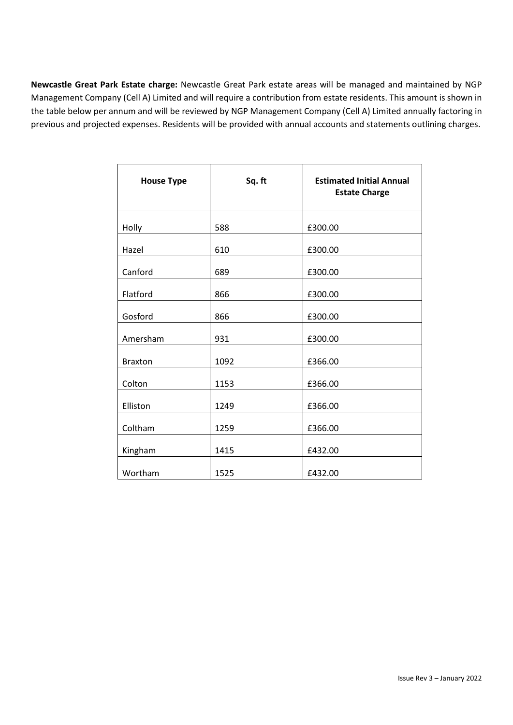**Newcastle Great Park Estate charge:** Newcastle Great Park estate areas will be managed and maintained by NGP Management Company (Cell A) Limited and will require a contribution from estate residents. This amount is shown in the table below per annum and will be reviewed by NGP Management Company (Cell A) Limited annually factoring in previous and projected expenses. Residents will be provided with annual accounts and statements outlining charges.

| <b>House Type</b> | Sq. ft | <b>Estimated Initial Annual</b><br><b>Estate Charge</b> |
|-------------------|--------|---------------------------------------------------------|
| Holly             | 588    | £300.00                                                 |
| Hazel             | 610    | £300.00                                                 |
| Canford           | 689    | £300.00                                                 |
| Flatford          | 866    | £300.00                                                 |
| Gosford           | 866    | £300.00                                                 |
| Amersham          | 931    | £300.00                                                 |
| <b>Braxton</b>    | 1092   | £366.00                                                 |
| Colton            | 1153   | £366.00                                                 |
| Elliston          | 1249   | £366.00                                                 |
| Coltham           | 1259   | £366.00                                                 |
| Kingham           | 1415   | £432.00                                                 |
| Wortham           | 1525   | £432.00                                                 |